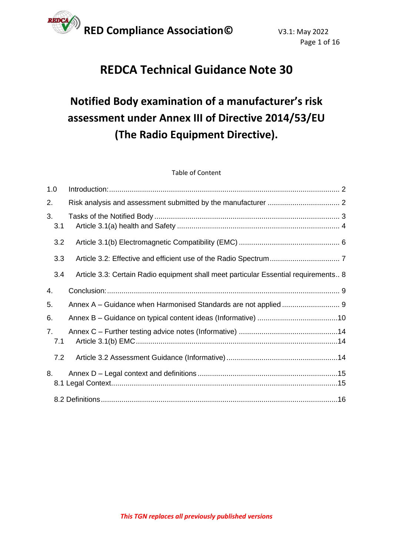

# **REDCA Technical Guidance Note 30**

# **Notified Body examination of a manufacturer's risk assessment under Annex III of Directive 2014/53/EU (The Radio Equipment Directive).**

#### Table of Content

| 1.0       |                                                                                     |
|-----------|-------------------------------------------------------------------------------------|
| 2.        |                                                                                     |
| 3.<br>3.1 |                                                                                     |
| 3.2       |                                                                                     |
| 3.3       |                                                                                     |
| 3.4       | Article 3.3: Certain Radio equipment shall meet particular Essential requirements 8 |
| 4.        |                                                                                     |
| 5.        | Annex A - Guidance when Harmonised Standards are not applied  9                     |
| 6.        |                                                                                     |
| 7.<br>7.1 |                                                                                     |
| 7.2       |                                                                                     |
| 8.        |                                                                                     |
|           |                                                                                     |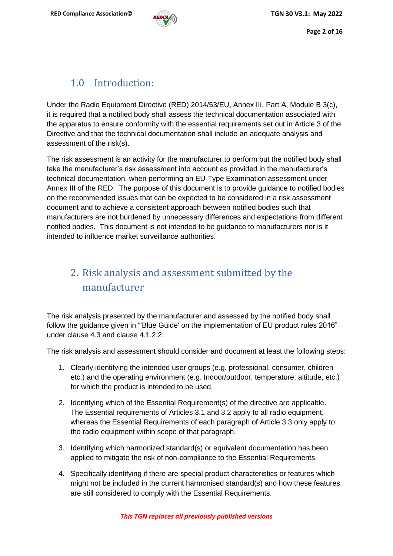## 1.0 Introduction:

<span id="page-1-0"></span>Under the Radio Equipment Directive (RED) 2014/53/EU, Annex III, Part A, Module B 3(c), it is required that a notified body shall assess the technical documentation associated with the apparatus to ensure conformity with the essential requirements set out in Article 3 of the Directive and that the technical documentation shall include an adequate analysis and assessment of the risk(s).

The risk assessment is an activity for the manufacturer to perform but the notified body shall take the manufacturer's risk assessment into account as provided in the manufacturer's technical documentation, when performing an EU-Type Examination assessment under Annex III of the RED. The purpose of this document is to provide guidance to notified bodies on the recommended issues that can be expected to be considered in a risk assessment document and to achieve a consistent approach between notified bodies such that manufacturers are not burdened by unnecessary differences and expectations from different notified bodies. This document is not intended to be guidance to manufacturers nor is it intended to influence market surveillance authorities.

# <span id="page-1-1"></span>2. Risk analysis and assessment submitted by the manufacturer

The risk analysis presented by the manufacturer and assessed by the notified body shall follow the guidance given in "'Blue Guide' on the implementation of EU product rules 2016" under clause 4.3 and clause 4.1.2.2.

The risk analysis and assessment should consider and document at least the following steps:

- 1. Clearly identifying the intended user groups (e.g. professional, consumer, children etc.) and the operating environment (e.g. Indoor/outdoor, temperature, altitude, etc.) for which the product is intended to be used.
- 2. Identifying which of the Essential Requirement(s) of the directive are applicable. The Essential requirements of Articles 3.1 and 3.2 apply to all radio equipment, whereas the Essential Requirements of each paragraph of Article 3.3 only apply to the radio equipment within scope of that paragraph.
- 3. Identifying which harmonized standard(s) or equivalent documentation has been applied to mitigate the risk of non-compliance to the Essential Requirements.
- 4. Specifically identifying if there are special product characteristics or features which might not be included in the current harmonised standard(s) and how these features are still considered to comply with the Essential Requirements.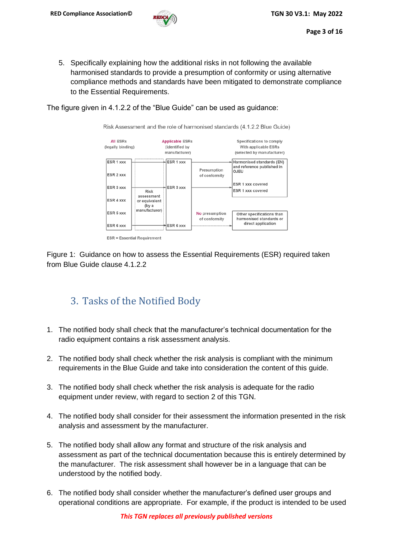5. Specifically explaining how the additional risks in not following the available harmonised standards to provide a presumption of conformity or using alternative compliance methods and standards have been mitigated to demonstrate compliance to the Essential Requirements.

The figure given in 4.1.2.2 of the "Blue Guide" can be used as guidance:

Risk Assessment and the role of harmonised standards (4.1.2.2 Blue Guide)



Figure 1: Guidance on how to assess the Essential Requirements (ESR) required taken from Blue Guide clause 4.1.2.2

## <span id="page-2-0"></span>3. Tasks of the Notified Body

- 1. The notified body shall check that the manufacturer's technical documentation for the radio equipment contains a risk assessment analysis.
- 2. The notified body shall check whether the risk analysis is compliant with the minimum requirements in the Blue Guide and take into consideration the content of this guide.
- 3. The notified body shall check whether the risk analysis is adequate for the radio equipment under review, with regard to section 2 of this TGN.
- 4. The notified body shall consider for their assessment the information presented in the risk analysis and assessment by the manufacturer.
- 5. The notified body shall allow any format and structure of the risk analysis and assessment as part of the technical documentation because this is entirely determined by the manufacturer. The risk assessment shall however be in a language that can be understood by the notified body.
- 6. The notified body shall consider whether the manufacturer's defined user groups and operational conditions are appropriate. For example, if the product is intended to be used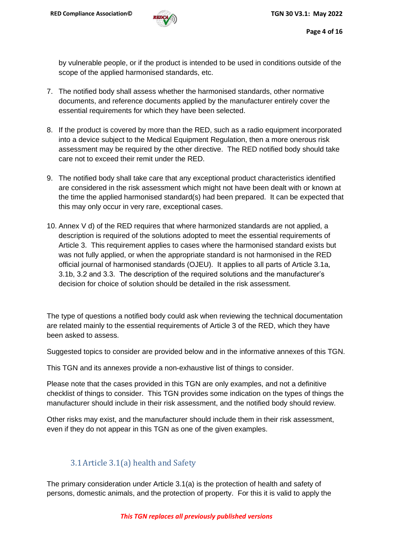by vulnerable people, or if the product is intended to be used in conditions outside of the scope of the applied harmonised standards, etc.

- 7. The notified body shall assess whether the harmonised standards, other normative documents, and reference documents applied by the manufacturer entirely cover the essential requirements for which they have been selected.
- 8. If the product is covered by more than the RED, such as a radio equipment incorporated into a device subject to the Medical Equipment Regulation, then a more onerous risk assessment may be required by the other directive. The RED notified body should take care not to exceed their remit under the RED.
- 9. The notified body shall take care that any exceptional product characteristics identified are considered in the risk assessment which might not have been dealt with or known at the time the applied harmonised standard(s) had been prepared. It can be expected that this may only occur in very rare, exceptional cases.
- 10. Annex V d) of the RED requires that where harmonized standards are not applied, a description is required of the solutions adopted to meet the essential requirements of Article 3. This requirement applies to cases where the harmonised standard exists but was not fully applied, or when the appropriate standard is not harmonised in the RED official journal of harmonised standards (OJEU). It applies to all parts of Article 3.1a, 3.1b, 3.2 and 3.3. The description of the required solutions and the manufacturer's decision for choice of solution should be detailed in the risk assessment.

The type of questions a notified body could ask when reviewing the technical documentation are related mainly to the essential requirements of Article 3 of the RED, which they have been asked to assess.

Suggested topics to consider are provided below and in the informative annexes of this TGN.

This TGN and its annexes provide a non-exhaustive list of things to consider.

Please note that the cases provided in this TGN are only examples, and not a definitive checklist of things to consider. This TGN provides some indication on the types of things the manufacturer should include in their risk assessment, and the notified body should review.

Other risks may exist, and the manufacturer should include them in their risk assessment, even if they do not appear in this TGN as one of the given examples.

#### 3.1Article 3.1(a) health and Safety

<span id="page-3-0"></span>The primary consideration under Article 3.1(a) is the protection of health and safety of persons, domestic animals, and the protection of property. For this it is valid to apply the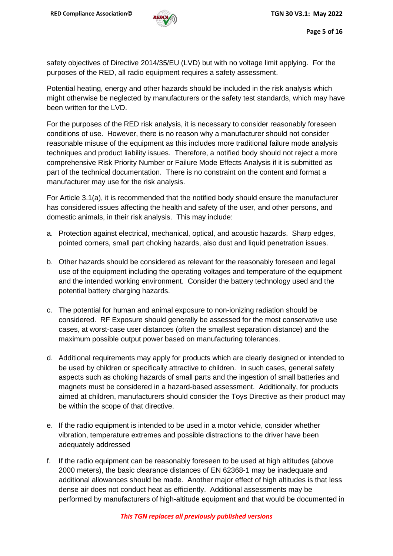safety objectives of Directive 2014/35/EU (LVD) but with no voltage limit applying. For the purposes of the RED, all radio equipment requires a safety assessment.

Potential heating, energy and other hazards should be included in the risk analysis which might otherwise be neglected by manufacturers or the safety test standards, which may have been written for the LVD.

For the purposes of the RED risk analysis, it is necessary to consider reasonably foreseen conditions of use. However, there is no reason why a manufacturer should not consider reasonable misuse of the equipment as this includes more traditional failure mode analysis techniques and product liability issues. Therefore, a notified body should not reject a more comprehensive Risk Priority Number or Failure Mode Effects Analysis if it is submitted as part of the technical documentation. There is no constraint on the content and format a manufacturer may use for the risk analysis.

For Article 3.1(a), it is recommended that the notified body should ensure the manufacturer has considered issues affecting the health and safety of the user, and other persons, and domestic animals, in their risk analysis. This may include:

- a. Protection against electrical, mechanical, optical, and acoustic hazards. Sharp edges, pointed corners, small part choking hazards, also dust and liquid penetration issues.
- b. Other hazards should be considered as relevant for the reasonably foreseen and legal use of the equipment including the operating voltages and temperature of the equipment and the intended working environment. Consider the battery technology used and the potential battery charging hazards.
- c. The potential for human and animal exposure to non-ionizing radiation should be considered. RF Exposure should generally be assessed for the most conservative use cases, at worst-case user distances (often the smallest separation distance) and the maximum possible output power based on manufacturing tolerances.
- d. Additional requirements may apply for products which are clearly designed or intended to be used by children or specifically attractive to children. In such cases, general safety aspects such as choking hazards of small parts and the ingestion of small batteries and magnets must be considered in a hazard-based assessment. Additionally, for products aimed at children, manufacturers should consider the Toys Directive as their product may be within the scope of that directive.
- e. If the radio equipment is intended to be used in a motor vehicle, consider whether vibration, temperature extremes and possible distractions to the driver have been adequately addressed
- f. If the radio equipment can be reasonably foreseen to be used at high altitudes (above 2000 meters), the basic clearance distances of EN 62368-1 may be inadequate and additional allowances should be made. Another major effect of high altitudes is that less dense air does not conduct heat as efficiently. Additional assessments may be performed by manufacturers of high-altitude equipment and that would be documented in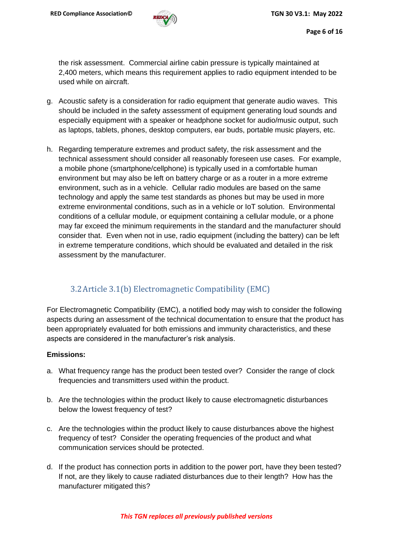

the risk assessment. Commercial airline cabin pressure is typically maintained at 2,400 meters, which means this requirement applies to radio equipment intended to be used while on aircraft.

- g. Acoustic safety is a consideration for radio equipment that generate audio waves. This should be included in the safety assessment of equipment generating loud sounds and especially equipment with a speaker or headphone socket for audio/music output, such as laptops, tablets, phones, desktop computers, ear buds, portable music players, etc.
- h. Regarding temperature extremes and product safety, the risk assessment and the technical assessment should consider all reasonably foreseen use cases. For example, a mobile phone (smartphone/cellphone) is typically used in a comfortable human environment but may also be left on battery charge or as a router in a more extreme environment, such as in a vehicle. Cellular radio modules are based on the same technology and apply the same test standards as phones but may be used in more extreme environmental conditions, such as in a vehicle or IoT solution. Environmental conditions of a cellular module, or equipment containing a cellular module, or a phone may far exceed the minimum requirements in the standard and the manufacturer should consider that. Even when not in use, radio equipment (including the battery) can be left in extreme temperature conditions, which should be evaluated and detailed in the risk assessment by the manufacturer.

#### 3.2Article 3.1(b) Electromagnetic Compatibility (EMC)

<span id="page-5-0"></span>For Electromagnetic Compatibility (EMC), a notified body may wish to consider the following aspects during an assessment of the technical documentation to ensure that the product has been appropriately evaluated for both emissions and immunity characteristics, and these aspects are considered in the manufacturer's risk analysis.

#### **Emissions:**

- a. What frequency range has the product been tested over? Consider the range of clock frequencies and transmitters used within the product.
- b. Are the technologies within the product likely to cause electromagnetic disturbances below the lowest frequency of test?
- c. Are the technologies within the product likely to cause disturbances above the highest frequency of test? Consider the operating frequencies of the product and what communication services should be protected.
- d. If the product has connection ports in addition to the power port, have they been tested? If not, are they likely to cause radiated disturbances due to their length? How has the manufacturer mitigated this?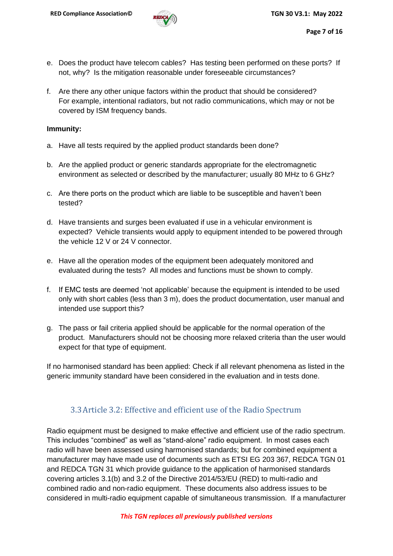- e. Does the product have telecom cables? Has testing been performed on these ports? If not, why? Is the mitigation reasonable under foreseeable circumstances?
- f. Are there any other unique factors within the product that should be considered? For example, intentional radiators, but not radio communications, which may or not be covered by ISM frequency bands.

#### **Immunity:**

- a. Have all tests required by the applied product standards been done?
- b. Are the applied product or generic standards appropriate for the electromagnetic environment as selected or described by the manufacturer; usually 80 MHz to 6 GHz?
- c. Are there ports on the product which are liable to be susceptible and haven't been tested?
- d. Have transients and surges been evaluated if use in a vehicular environment is expected? Vehicle transients would apply to equipment intended to be powered through the vehicle 12 V or 24 V connector.
- e. Have all the operation modes of the equipment been adequately monitored and evaluated during the tests? All modes and functions must be shown to comply.
- f. If EMC tests are deemed 'not applicable' because the equipment is intended to be used only with short cables (less than 3 m), does the product documentation, user manual and intended use support this?
- g. The pass or fail criteria applied should be applicable for the normal operation of the product. Manufacturers should not be choosing more relaxed criteria than the user would expect for that type of equipment.

If no harmonised standard has been applied: Check if all relevant phenomena as listed in the generic immunity standard have been considered in the evaluation and in tests done.

#### 3.3Article 3.2: Effective and efficient use of the Radio Spectrum

<span id="page-6-0"></span>Radio equipment must be designed to make effective and efficient use of the radio spectrum. This includes "combined" as well as "stand-alone" radio equipment. In most cases each radio will have been assessed using harmonised standards; but for combined equipment a manufacturer may have made use of documents such as ETSI EG 203 367, REDCA TGN 01 and REDCA TGN 31 which provide guidance to the application of harmonised standards covering articles 3.1(b) and 3.2 of the Directive 2014/53/EU (RED) to multi-radio and combined radio and non-radio equipment. These documents also address issues to be considered in multi-radio equipment capable of simultaneous transmission. If a manufacturer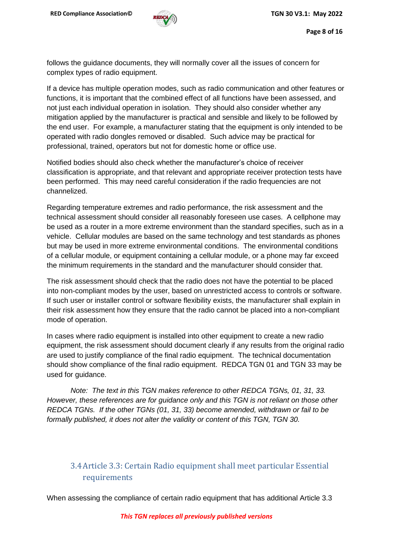follows the guidance documents, they will normally cover all the issues of concern for complex types of radio equipment.

If a device has multiple operation modes, such as radio communication and other features or functions, it is important that the combined effect of all functions have been assessed, and not just each individual operation in isolation. They should also consider whether any mitigation applied by the manufacturer is practical and sensible and likely to be followed by the end user. For example, a manufacturer stating that the equipment is only intended to be operated with radio dongles removed or disabled. Such advice may be practical for professional, trained, operators but not for domestic home or office use.

Notified bodies should also check whether the manufacturer's choice of receiver classification is appropriate, and that relevant and appropriate receiver protection tests have been performed. This may need careful consideration if the radio frequencies are not channelized.

Regarding temperature extremes and radio performance, the risk assessment and the technical assessment should consider all reasonably foreseen use cases. A cellphone may be used as a router in a more extreme environment than the standard specifies, such as in a vehicle. Cellular modules are based on the same technology and test standards as phones but may be used in more extreme environmental conditions. The environmental conditions of a cellular module, or equipment containing a cellular module, or a phone may far exceed the minimum requirements in the standard and the manufacturer should consider that.

The risk assessment should check that the radio does not have the potential to be placed into non-compliant modes by the user, based on unrestricted access to controls or software. If such user or installer control or software flexibility exists, the manufacturer shall explain in their risk assessment how they ensure that the radio cannot be placed into a non-compliant mode of operation.

In cases where radio equipment is installed into other equipment to create a new radio equipment, the risk assessment should document clearly if any results from the original radio are used to justify compliance of the final radio equipment. The technical documentation should show compliance of the final radio equipment. REDCA TGN 01 and TGN 33 may be used for guidance.

*Note: The text in this TGN makes reference to other REDCA TGNs, 01, 31, 33. However, these references are for guidance only and this TGN is not reliant on those other REDCA TGNs. If the other TGNs (01, 31, 33) become amended, withdrawn or fail to be formally published, it does not alter the validity or content of this TGN, TGN 30.*

### <span id="page-7-0"></span>3.4Article 3.3: Certain Radio equipment shall meet particular Essential requirements

When assessing the compliance of certain radio equipment that has additional Article 3.3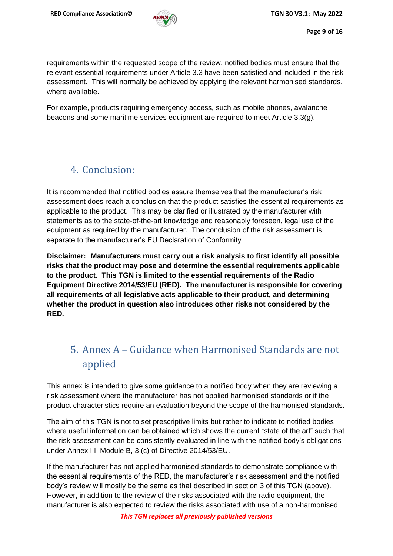

requirements within the requested scope of the review, notified bodies must ensure that the relevant essential requirements under Article 3.3 have been satisfied and included in the risk assessment. This will normally be achieved by applying the relevant harmonised standards, where available.

For example, products requiring emergency access, such as mobile phones, avalanche beacons and some maritime services equipment are required to meet Article 3.3(g).

## <span id="page-8-0"></span>4. Conclusion:

It is recommended that notified bodies assure themselves that the manufacturer's risk assessment does reach a conclusion that the product satisfies the essential requirements as applicable to the product. This may be clarified or illustrated by the manufacturer with statements as to the state-of-the-art knowledge and reasonably foreseen, legal use of the equipment as required by the manufacturer. The conclusion of the risk assessment is separate to the manufacturer's EU Declaration of Conformity.

**Disclaimer: Manufacturers must carry out a risk analysis to first identify all possible risks that the product may pose and determine the essential requirements applicable to the product. This TGN is limited to the essential requirements of the Radio Equipment Directive 2014/53/EU (RED). The manufacturer is responsible for covering all requirements of all legislative acts applicable to their product, and determining whether the product in question also introduces other risks not considered by the RED.**

# <span id="page-8-1"></span>5. Annex A – Guidance when Harmonised Standards are not applied

This annex is intended to give some guidance to a notified body when they are reviewing a risk assessment where the manufacturer has not applied harmonised standards or if the product characteristics require an evaluation beyond the scope of the harmonised standards.

The aim of this TGN is not to set prescriptive limits but rather to indicate to notified bodies where useful information can be obtained which shows the current "state of the art" such that the risk assessment can be consistently evaluated in line with the notified body's obligations under Annex III, Module B, 3 (c) of Directive 2014/53/EU.

If the manufacturer has not applied harmonised standards to demonstrate compliance with the essential requirements of the RED, the manufacturer's risk assessment and the notified body's review will mostly be the same as that described in section 3 of this TGN (above). However, in addition to the review of the risks associated with the radio equipment, the manufacturer is also expected to review the risks associated with use of a non-harmonised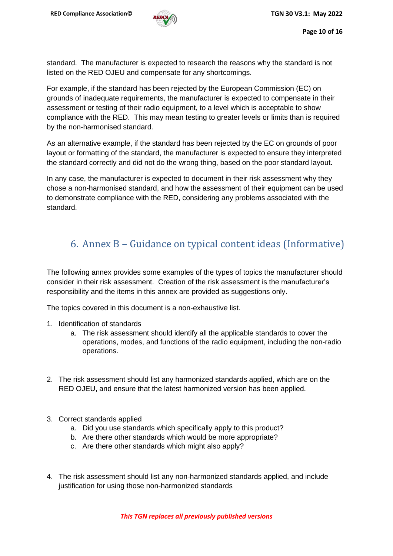standard. The manufacturer is expected to research the reasons why the standard is not listed on the RED OJEU and compensate for any shortcomings.

For example, if the standard has been rejected by the European Commission (EC) on grounds of inadequate requirements, the manufacturer is expected to compensate in their assessment or testing of their radio equipment, to a level which is acceptable to show compliance with the RED. This may mean testing to greater levels or limits than is required by the non-harmonised standard.

As an alternative example, if the standard has been rejected by the EC on grounds of poor layout or formatting of the standard, the manufacturer is expected to ensure they interpreted the standard correctly and did not do the wrong thing, based on the poor standard layout.

In any case, the manufacturer is expected to document in their risk assessment why they chose a non-harmonised standard, and how the assessment of their equipment can be used to demonstrate compliance with the RED, considering any problems associated with the standard.

# <span id="page-9-0"></span>6. Annex B – Guidance on typical content ideas (Informative)

The following annex provides some examples of the types of topics the manufacturer should consider in their risk assessment. Creation of the risk assessment is the manufacturer's responsibility and the items in this annex are provided as suggestions only.

The topics covered in this document is a non-exhaustive list.

- 1. Identification of standards
	- a. The risk assessment should identify all the applicable standards to cover the operations, modes, and functions of the radio equipment, including the non-radio operations.
- 2. The risk assessment should list any harmonized standards applied, which are on the RED OJEU, and ensure that the latest harmonized version has been applied.
- 3. Correct standards applied
	- a. Did you use standards which specifically apply to this product?
	- b. Are there other standards which would be more appropriate?
	- c. Are there other standards which might also apply?
- 4. The risk assessment should list any non-harmonized standards applied, and include justification for using those non-harmonized standards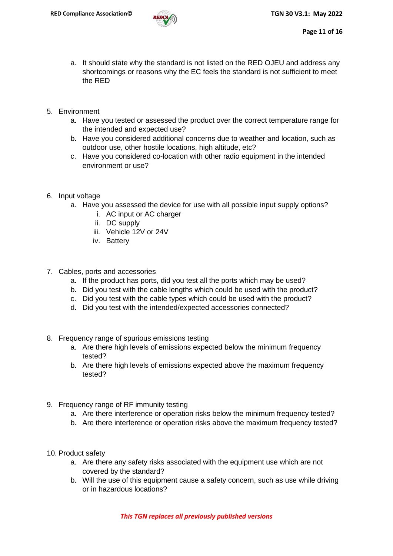

- a. It should state why the standard is not listed on the RED OJEU and address any shortcomings or reasons why the EC feels the standard is not sufficient to meet the RED
- 5. Environment
	- a. Have you tested or assessed the product over the correct temperature range for the intended and expected use?
	- b. Have you considered additional concerns due to weather and location, such as outdoor use, other hostile locations, high altitude, etc?
	- c. Have you considered co-location with other radio equipment in the intended environment or use?
- 6. Input voltage
	- a. Have you assessed the device for use with all possible input supply options?
		- i. AC input or AC charger
		- ii. DC supply
		- iii. Vehicle 12V or 24V
		- iv. Battery
- 7. Cables, ports and accessories
	- a. If the product has ports, did you test all the ports which may be used?
	- b. Did you test with the cable lengths which could be used with the product?
	- c. Did you test with the cable types which could be used with the product?
	- d. Did you test with the intended/expected accessories connected?
- 8. Frequency range of spurious emissions testing
	- a. Are there high levels of emissions expected below the minimum frequency tested?
	- b. Are there high levels of emissions expected above the maximum frequency tested?
- 9. Frequency range of RF immunity testing
	- a. Are there interference or operation risks below the minimum frequency tested?
	- b. Are there interference or operation risks above the maximum frequency tested?
- 10. Product safety
	- a. Are there any safety risks associated with the equipment use which are not covered by the standard?
	- b. Will the use of this equipment cause a safety concern, such as use while driving or in hazardous locations?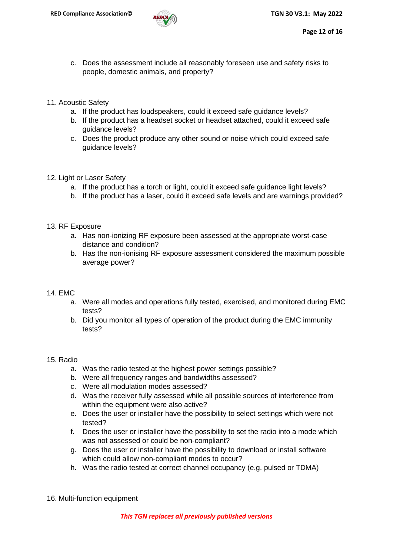

- c. Does the assessment include all reasonably foreseen use and safety risks to people, domestic animals, and property?
- 11. Acoustic Safety
	- a. If the product has loudspeakers, could it exceed safe guidance levels?
	- b. If the product has a headset socket or headset attached, could it exceed safe guidance levels?
	- c. Does the product produce any other sound or noise which could exceed safe guidance levels?
- 12. Light or Laser Safety
	- a. If the product has a torch or light, could it exceed safe guidance light levels?
	- b. If the product has a laser, could it exceed safe levels and are warnings provided?
- 13. RF Exposure
	- a. Has non-ionizing RF exposure been assessed at the appropriate worst-case distance and condition?
	- b. Has the non-ionising RF exposure assessment considered the maximum possible average power?

#### 14. EMC

- a. Were all modes and operations fully tested, exercised, and monitored during EMC tests?
- b. Did you monitor all types of operation of the product during the EMC immunity tests?

#### 15. Radio

- a. Was the radio tested at the highest power settings possible?
- b. Were all frequency ranges and bandwidths assessed?
- c. Were all modulation modes assessed?
- d. Was the receiver fully assessed while all possible sources of interference from within the equipment were also active?
- e. Does the user or installer have the possibility to select settings which were not tested?
- f. Does the user or installer have the possibility to set the radio into a mode which was not assessed or could be non-compliant?
- g. Does the user or installer have the possibility to download or install software which could allow non-compliant modes to occur?
- h. Was the radio tested at correct channel occupancy (e.g. pulsed or TDMA)
- 16. Multi-function equipment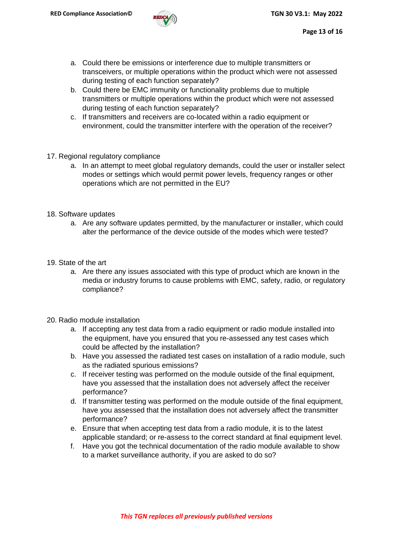

- a. Could there be emissions or interference due to multiple transmitters or transceivers, or multiple operations within the product which were not assessed during testing of each function separately?
- b. Could there be EMC immunity or functionality problems due to multiple transmitters or multiple operations within the product which were not assessed during testing of each function separately?
- c. If transmitters and receivers are co-located within a radio equipment or environment, could the transmitter interfere with the operation of the receiver?
- 17. Regional regulatory compliance
	- a. In an attempt to meet global regulatory demands, could the user or installer select modes or settings which would permit power levels, frequency ranges or other operations which are not permitted in the EU?
- 18. Software updates
	- a. Are any software updates permitted, by the manufacturer or installer, which could alter the performance of the device outside of the modes which were tested?
- 19. State of the art
	- a. Are there any issues associated with this type of product which are known in the media or industry forums to cause problems with EMC, safety, radio, or regulatory compliance?
- 20. Radio module installation
	- a. If accepting any test data from a radio equipment or radio module installed into the equipment, have you ensured that you re-assessed any test cases which could be affected by the installation?
	- b. Have you assessed the radiated test cases on installation of a radio module, such as the radiated spurious emissions?
	- c. If receiver testing was performed on the module outside of the final equipment, have you assessed that the installation does not adversely affect the receiver performance?
	- d. If transmitter testing was performed on the module outside of the final equipment, have you assessed that the installation does not adversely affect the transmitter performance?
	- e. Ensure that when accepting test data from a radio module, it is to the latest applicable standard; or re-assess to the correct standard at final equipment level.
	- f. Have you got the technical documentation of the radio module available to show to a market surveillance authority, if you are asked to do so?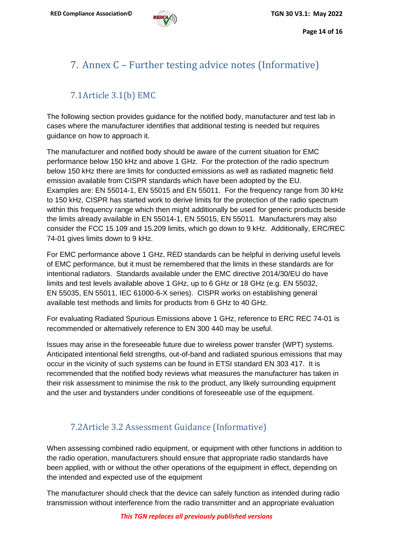# <span id="page-13-0"></span>7. Annex C – Further testing advice notes (Informative)

## 7.1Article 3.1(b) EMC

<span id="page-13-1"></span>The following section provides guidance for the notified body, manufacturer and test lab in cases where the manufacturer identifies that additional testing is needed but requires guidance on how to approach it.

The manufacturer and notified body should be aware of the current situation for EMC performance below 150 kHz and above 1 GHz. For the protection of the radio spectrum below 150 kHz there are limits for conducted emissions as well as radiated magnetic field emission available from CISPR standards which have been adopted by the EU. Examples are: EN 55014-1, EN 55015 and EN 55011. For the frequency range from 30 kHz to 150 kHz, CISPR has started work to derive limits for the protection of the radio spectrum within this frequency range which then might additionally be used for generic products beside the limits already available in EN 55014-1, EN 55015, EN 55011. Manufacturers may also consider the FCC 15.109 and 15.209 limits, which go down to 9 kHz. Additionally, ERC/REC 74-01 gives limits down to 9 kHz.

For EMC performance above 1 GHz, RED standards can be helpful in deriving useful levels of EMC performance, but it must be remembered that the limits in these standards are for intentional radiators. Standards available under the EMC directive 2014/30/EU do have limits and test levels available above 1 GHz, up to 6 GHz or 18 GHz (e.g. EN 55032, EN 55035, EN 55011, IEC 61000-6-X series). CISPR works on establishing general available test methods and limits for products from 6 GHz to 40 GHz.

For evaluating Radiated Spurious Emissions above 1 GHz, reference to ERC REC 74-01 is recommended or alternatively reference to EN 300 440 may be useful.

Issues may arise in the foreseeable future due to wireless power transfer (WPT) systems. Anticipated intentional field strengths, out-of-band and radiated spurious emissions that may occur in the vicinity of such systems can be found in ETSI standard EN 303 417. It is recommended that the notified body reviews what measures the manufacturer has taken in their risk assessment to minimise the risk to the product, any likely surrounding equipment and the user and bystanders under conditions of foreseeable use of the equipment.

### 7.2Article 3.2 Assessment Guidance (Informative)

<span id="page-13-2"></span>When assessing combined radio equipment, or equipment with other functions in addition to the radio operation, manufacturers should ensure that appropriate radio standards have been applied, with or without the other operations of the equipment in effect, depending on the intended and expected use of the equipment

The manufacturer should check that the device can safely function as intended during radio transmission without interference from the radio transmitter and an appropriate evaluation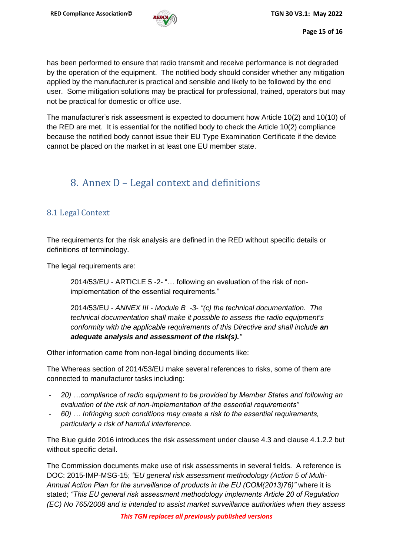has been performed to ensure that radio transmit and receive performance is not degraded by the operation of the equipment. The notified body should consider whether any mitigation applied by the manufacturer is practical and sensible and likely to be followed by the end user. Some mitigation solutions may be practical for professional, trained, operators but may not be practical for domestic or office use.

The manufacturer's risk assessment is expected to document how Article 10(2) and 10(10) of the RED are met. It is essential for the notified body to check the Article 10(2) compliance because the notified body cannot issue their EU Type Examination Certificate if the device cannot be placed on the market in at least one EU member state.

## <span id="page-14-0"></span>8. Annex D – Legal context and definitions

#### <span id="page-14-1"></span>8.1 Legal Context

The requirements for the risk analysis are defined in the RED without specific details or definitions of terminology.

The legal requirements are:

2014/53/EU - ARTICLE 5 -2- "… following an evaluation of the risk of nonimplementation of the essential requirements."

2014/53/EU - *ANNEX III - Module B -3- "(c) the technical documentation. The technical documentation shall make it possible to assess the radio equipment's conformity with the applicable requirements of this Directive and shall include an adequate analysis and assessment of the risk(s)."*

Other information came from non-legal binding documents like:

The Whereas section of 2014/53/EU make several references to risks, some of them are connected to manufacturer tasks including:

- *20) …compliance of radio equipment to be provided by Member States and following an evaluation of the risk of non-implementation of the essential requirements"*
- *60) … Infringing such conditions may create a risk to the essential requirements, particularly a risk of harmful interference.*

The Blue guide 2016 introduces the risk assessment under clause 4.3 and clause 4.1.2.2 but without specific detail.

The Commission documents make use of risk assessments in several fields. A reference is DOC: 2015-IMP-MSG-15; *"EU general risk assessment methodology (Action 5 of Multi-Annual Action Plan for the surveillance of products in the EU (COM(2013)76)"* where it is stated; *"This EU general risk assessment methodology implements Article 20 of Regulation (EC) No 765/2008 and is intended to assist market surveillance authorities when they assess*